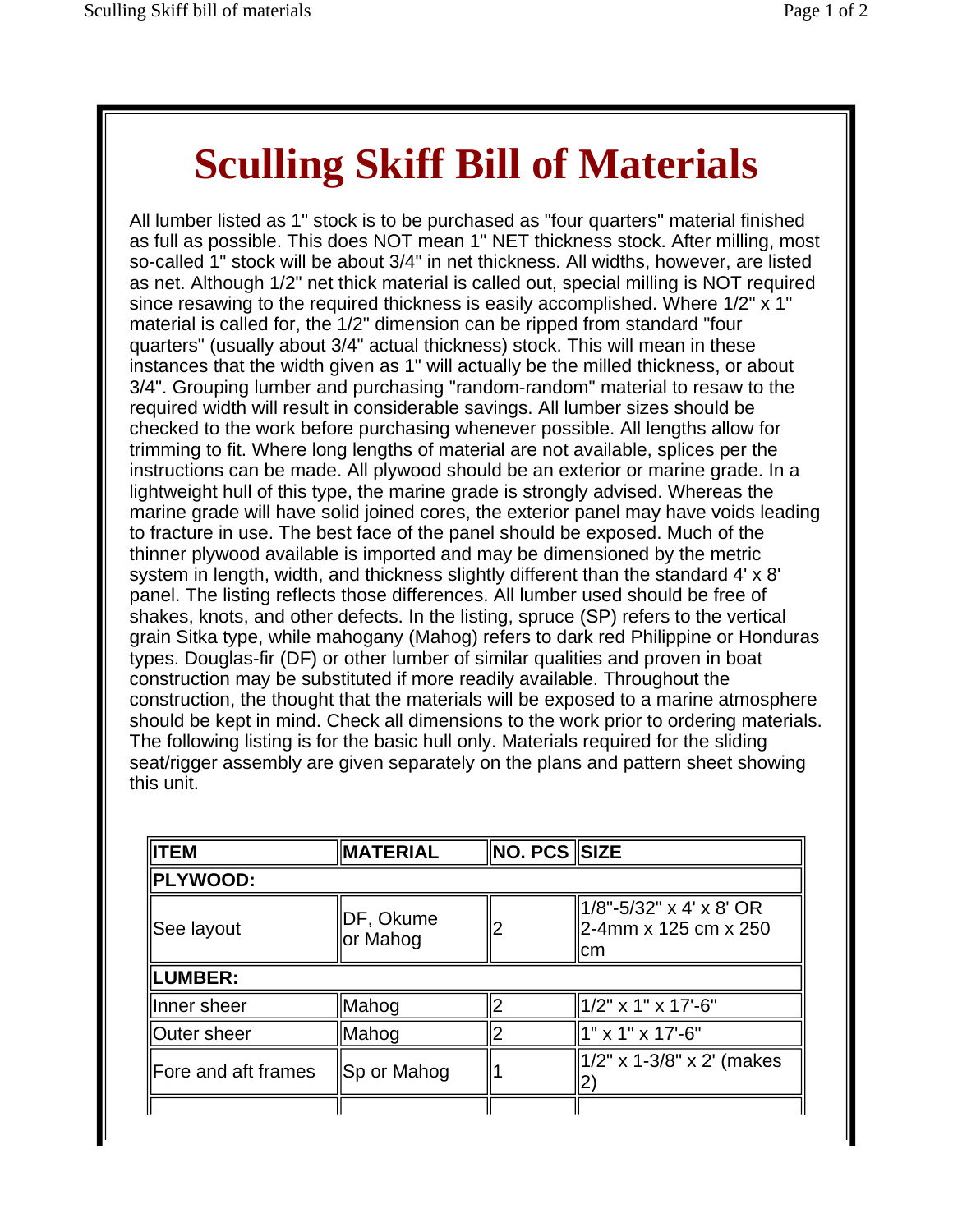## **Sculling Skiff Bill of Materials**

All lumber listed as 1" stock is to be purchased as "four quarters" material finished as full as possible. This does NOT mean 1" NET thickness stock. After milling, most so-called 1" stock will be about 3/4" in net thickness. All widths, however, are listed as net. Although 1/2" net thick material is called out, special milling is NOT required since resawing to the required thickness is easily accomplished. Where 1/2" x 1" material is called for, the 1/2" dimension can be ripped from standard "four quarters" (usually about 3/4" actual thickness) stock. This will mean in these instances that the width given as 1" will actually be the milled thickness, or about 3/4". Grouping lumber and purchasing "random-random" material to resaw to the required width will result in considerable savings. All lumber sizes should be checked to the work before purchasing whenever possible. All lengths allow for trimming to fit. Where long lengths of material are not available, splices per the instructions can be made. All plywood should be an exterior or marine grade. In a lightweight hull of this type, the marine grade is strongly advised. Whereas the marine grade will have solid joined cores, the exterior panel may have voids leading to fracture in use. The best face of the panel should be exposed. Much of the thinner plywood available is imported and may be dimensioned by the metric system in length, width, and thickness slightly different than the standard 4' x 8' panel. The listing reflects those differences. All lumber used should be free of shakes, knots, and other defects. In the listing, spruce (SP) refers to the vertical grain Sitka type, while mahogany (Mahog) refers to dark red Philippine or Honduras types. Douglas-fir (DF) or other lumber of similar qualities and proven in boat construction may be substituted if more readily available. Throughout the construction, the thought that the materials will be exposed to a marine atmosphere should be kept in mind. Check all dimensions to the work prior to ordering materials. The following listing is for the basic hull only. Materials required for the sliding seat/rigger assembly are given separately on the plans and pattern sheet showing this unit.

| <b>IITEM</b>        | <b>MATERIAL</b>       | ∥NO. PCS ∥SIZE |                                                        |
|---------------------|-----------------------|----------------|--------------------------------------------------------|
| <b>PLYWOOD:</b>     |                       |                |                                                        |
| See layout          | DF, Okume<br>or Mahog |                | 1/8"-5/32" x 4' x 8' OR<br>2-4mm x 125 cm x 250<br>Icm |
| <b>ILUMBER:</b>     |                       |                |                                                        |
| Inner sheer         | Mahog                 |                | 1/2" x 1" x 17'-6"                                     |
| ∥Outer sheer        | Mahog                 |                | 1" x 1" x 17'-6"                                       |
| Fore and aft frames | Sp or Mahog           |                | 1/2" x 1-3/8" x 2' (makes                              |
|                     |                       |                |                                                        |